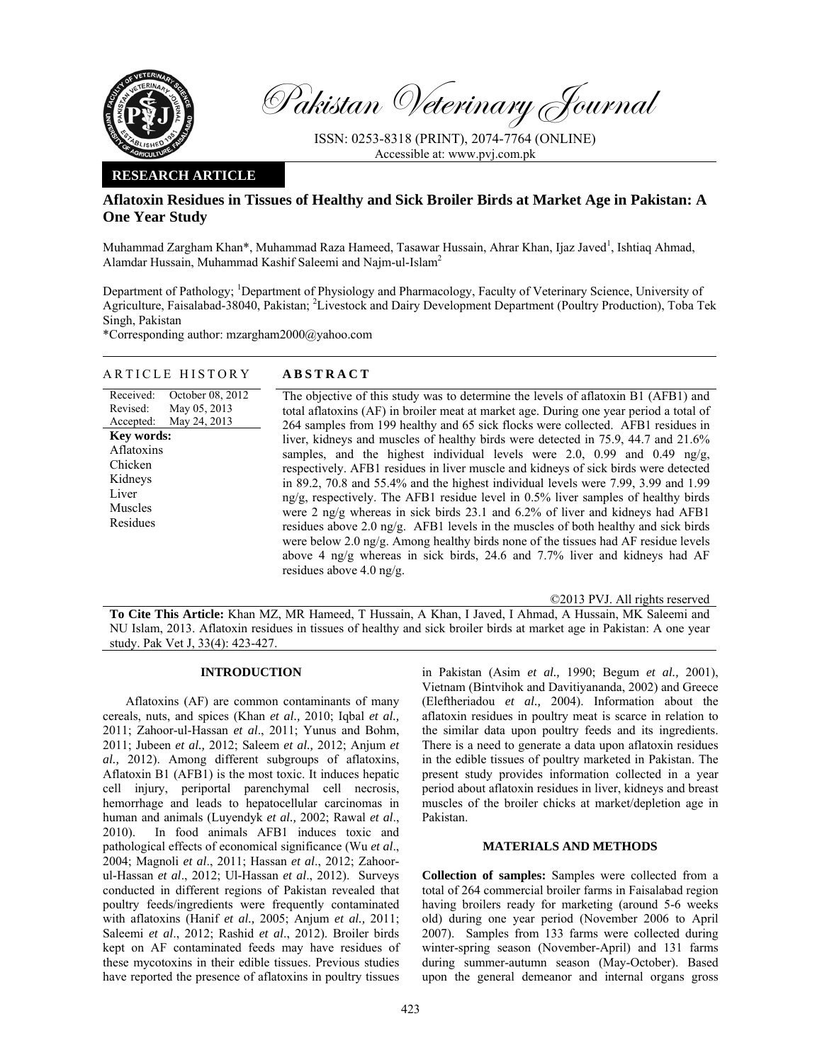

Pakistan Veterinary Journal

ISSN: 0253-8318 (PRINT), 2074-7764 (ONLINE) Accessible at: www.pvj.com.pk

## **RESEARCH ARTICLE**

# **Aflatoxin Residues in Tissues of Healthy and Sick Broiler Birds at Market Age in Pakistan: A One Year Study**

Muhammad Zargham Khan\*, Muhammad Raza Hameed, Tasawar Hussain, Ahrar Khan, Ijaz Javed<sup>1</sup>, Ishtiaq Ahmad, Alamdar Hussain, Muhammad Kashif Saleemi and Naim-ul-Islam<sup>2</sup>

Department of Pathology; <sup>1</sup>Department of Physiology and Pharmacology, Faculty of Veterinary Science, University of Agriculture, Faisalabad-38040, Pakistan; <sup>2</sup>Livestock and Dairy Development Department (Poultry Production), Toba Tek Singh, Pakistan

\*Corresponding author: mzargham2000@yahoo.com

## ARTICLE HISTORY **ABSTRACT**

| Received:<br>October 08, 2012<br>May 05, 2013<br>Revised:<br>May 24, 2013<br>Accepted:<br>Key words:<br>Aflatoxins<br>Chicken<br>Kidneys<br>Liver<br>Muscles<br>Residues | The objective of this study was to determine the levels of aflatoxin B1 (AFB1) and<br>total aflatoxins (AF) in broiler meat at market age. During one year period a total of<br>264 samples from 199 healthy and 65 sick flocks were collected. AFB1 residues in<br>liver, kidneys and muscles of healthy birds were detected in 75.9, 44.7 and 21.6%<br>samples, and the highest individual levels were 2.0, 0.99 and 0.49 ng/g,<br>respectively. AFB1 residues in liver muscle and kidneys of sick birds were detected<br>in 89.2, 70.8 and 55.4% and the highest individual levels were 7.99, 3.99 and 1.99<br>ng/g, respectively. The AFB1 residue level in $0.5\%$ liver samples of healthy birds<br>were 2 ng/g whereas in sick birds 23.1 and 6.2% of liver and kidneys had AFB1 |
|--------------------------------------------------------------------------------------------------------------------------------------------------------------------------|-----------------------------------------------------------------------------------------------------------------------------------------------------------------------------------------------------------------------------------------------------------------------------------------------------------------------------------------------------------------------------------------------------------------------------------------------------------------------------------------------------------------------------------------------------------------------------------------------------------------------------------------------------------------------------------------------------------------------------------------------------------------------------------------|
|                                                                                                                                                                          | residues above 2.0 ng/g. AFB1 levels in the muscles of both healthy and sick birds<br>were below 2.0 ng/g. Among healthy birds none of the tissues had AF residue levels<br>above 4 ng/g whereas in sick birds, 24.6 and 7.7% liver and kidneys had AF<br>residues above $4.0 \text{ ng/g.}$                                                                                                                                                                                                                                                                                                                                                                                                                                                                                            |

©2013 PVJ. All rights reserved

**To Cite This Article:** Khan MZ, MR Hameed, T Hussain, A Khan, I Javed, I Ahmad, A Hussain, MK Saleemi and NU Islam, 2013. Aflatoxin residues in tissues of healthy and sick broiler birds at market age in Pakistan: A one year study. Pak Vet J, 33(4): 423-427.

#### **INTRODUCTION**

Aflatoxins (AF) are common contaminants of many cereals, nuts, and spices (Khan *et al.,* 2010; Iqbal *et al.,* 2011; Zahoor-ul-Hassan *et al*., 2011; Yunus and Bohm, 2011; Jubeen *et al.,* 2012; Saleem *et al.,* 2012; Anjum *et al.,* 2012). Among different subgroups of aflatoxins, Aflatoxin B1 (AFB1) is the most toxic. It induces hepatic cell injury, periportal parenchymal cell necrosis, hemorrhage and leads to hepatocellular carcinomas in human and animals (Luyendyk *et al.,* 2002; Rawal *et al*., 2010). In food animals AFB1 induces toxic and pathological effects of economical significance (Wu *et al*., 2004; Magnoli *et al*., 2011; Hassan *et al*., 2012; Zahoorul-Hassan *et al*., 2012; Ul-Hassan *et al*., 2012). Surveys conducted in different regions of Pakistan revealed that poultry feeds/ingredients were frequently contaminated with aflatoxins (Hanif *et al.,* 2005; Anjum *et al.,* 2011; Saleemi *et al*., 2012; Rashid *et al*., 2012). Broiler birds kept on AF contaminated feeds may have residues of these mycotoxins in their edible tissues. Previous studies have reported the presence of aflatoxins in poultry tissues

in Pakistan (Asim *et al.,* 1990; Begum *et al.,* 2001), Vietnam (Bintvihok and Davitiyananda, 2002) and Greece (Eleftheriadou *et al.,* 2004). Information about the aflatoxin residues in poultry meat is scarce in relation to the similar data upon poultry feeds and its ingredients. There is a need to generate a data upon aflatoxin residues in the edible tissues of poultry marketed in Pakistan. The present study provides information collected in a year period about aflatoxin residues in liver, kidneys and breast muscles of the broiler chicks at market/depletion age in Pakistan.

### **MATERIALS AND METHODS**

**Collection of samples:** Samples were collected from a total of 264 commercial broiler farms in Faisalabad region having broilers ready for marketing (around 5-6 weeks old) during one year period (November 2006 to April 2007). Samples from 133 farms were collected during winter-spring season (November-April) and 131 farms during summer-autumn season (May-October). Based upon the general demeanor and internal organs gross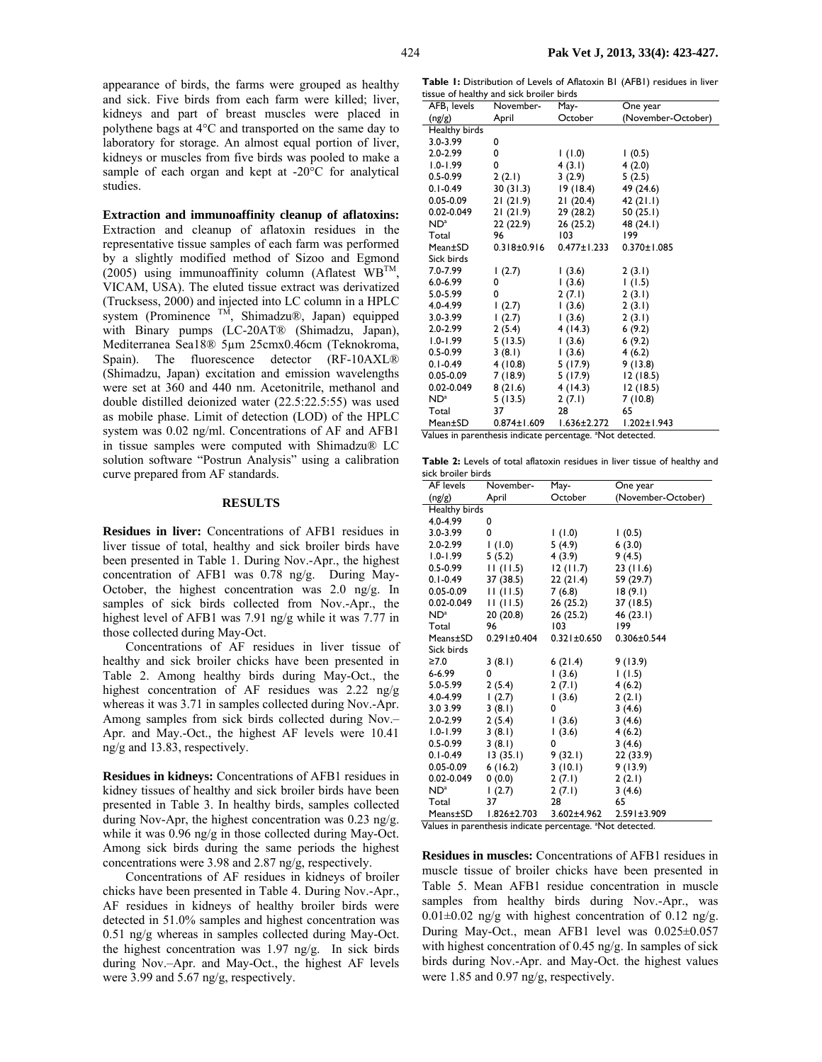**Extraction and immunoaffinity cleanup of aflatoxins:**  Extraction and cleanup of aflatoxin residues in the representative tissue samples of each farm was performed by a slightly modified method of Sizoo and Egmond (2005) using immunoaffinity column (Aflatest  $W\text{B}^{TM}$ , VICAM, USA). The eluted tissue extract was derivatized (Trucksess, 2000) and injected into LC column in a HPLC system (Prominence  $TM$ , Shimadzu®, Japan) equipped with Binary pumps (LC-20AT® (Shimadzu, Japan), Mediterranea Sea18® 5µm 25cmx0.46cm (Teknokroma, Spain). The fluorescence detector (RF-10AXL® (Shimadzu, Japan) excitation and emission wavelengths were set at 360 and 440 nm. Acetonitrile, methanol and double distilled deionized water (22.5:22.5:55) was used as mobile phase. Limit of detection (LOD) of the HPLC system was 0.02 ng/ml. Concentrations of AF and AFB1 in tissue samples were computed with Shimadzu® LC solution software "Postrun Analysis" using a calibration curve prepared from AF standards.

studies.

#### **RESULTS**

**Residues in liver:** Concentrations of AFB1 residues in liver tissue of total, healthy and sick broiler birds have been presented in Table 1. During Nov.-Apr., the highest concentration of AFB1 was 0.78 ng/g. During May-October, the highest concentration was 2.0 ng/g. In samples of sick birds collected from Nov.-Apr., the highest level of AFB1 was 7.91 ng/g while it was 7.77 in those collected during May-Oct.

Concentrations of AF residues in liver tissue of healthy and sick broiler chicks have been presented in Table 2. Among healthy birds during May-Oct., the highest concentration of AF residues was 2.22 ng/g whereas it was 3.71 in samples collected during Nov.-Apr. Among samples from sick birds collected during Nov.– Apr. and May.-Oct., the highest AF levels were 10.41 ng/g and 13.83, respectively.

**Residues in kidneys:** Concentrations of AFB1 residues in kidney tissues of healthy and sick broiler birds have been presented in Table 3. In healthy birds, samples collected during Nov-Apr, the highest concentration was 0.23 ng/g. while it was 0.96 ng/g in those collected during May-Oct. Among sick birds during the same periods the highest concentrations were 3.98 and 2.87 ng/g, respectively.

Concentrations of AF residues in kidneys of broiler chicks have been presented in Table 4. During Nov.-Apr., AF residues in kidneys of healthy broiler birds were detected in 51.0% samples and highest concentration was 0.51 ng/g whereas in samples collected during May-Oct. the highest concentration was 1.97 ng/g. In sick birds during Nov.–Apr. and May-Oct., the highest AF levels were 3.99 and 5.67 ng/g, respectively.

**Table 1:** Distribution of Levels of Aflatoxin B1 (AFB1) residues in liver tissue of healthy and sick broiler birds

| AFB <sub>I</sub> levels | November-         | May-              | One year           |
|-------------------------|-------------------|-------------------|--------------------|
| (ng/g)                  | April             | October           | (November-October) |
| Healthy birds           |                   |                   |                    |
| $3.0 - 3.99$            | 0                 |                   |                    |
| 2.0-2.99                | 0                 | $(0.1)$ 1         | 1(0.5)             |
| $1.0 - 1.99$            | 0                 | 4(3.1)            | 4(2.0)             |
| $0.5 - 0.99$            | 2(2.1)            | 3(2.9)            | 5(2.5)             |
| $0.1 - 0.49$            | 30(31.3)          | 19(18.4)          | 49 (24.6)          |
| $0.05 - 0.09$           | 21(21.9)          | 21(20.4)          | 42 $(21.1)$        |
| 0.02-0.049              | 21(21.9)          | 29 (28.2)         | 50(25.1)           |
| $ND^a$                  | 22 (22.9)         | 26 (25.2)         | 48 (24.1)          |
| Total                   | 96                | 103               | 199                |
| Mean±SD                 | $0.318 + 0.916$   | $0.477 \pm 1.233$ | $0.370 \pm 1.085$  |
| Sick birds              |                   |                   |                    |
| 7.0-7.99                | 1(2.7)            | (3.6)             | 2(3.1)             |
| $6.0 - 6.99$            | 0                 | (3.6)             | 1(1.5)             |
| $5.0 - 5.99$            | 0                 | 2(7.1)            | 2(3.1)             |
| 4.0-4.99                | 1(2.7)            | (3.6)             | 2(3.1)             |
| $3.0 - 3.99$            | (2.7)             | (3.6)             | 2(3.1)             |
| 2.0-2.99                | 2(5.4)            | 4(14.3)           | 6(9.2)             |
| $1.0 - 1.99$            | 5(13.5)           | (3.6)             | 6(9.2)             |
| $0.5 - 0.99$            | 3(8.1)            | (3.6)             | 4(6.2)             |
| $0.1 - 0.49$            | 4(10.8)           | 5(17.9)           | 9(13.8)            |
| $0.05 - 0.09$           | 7 (18.9)          | 5 (17.9)          | 12(18.5)           |
| 0.02-0.049              | 8(21.6)           | 4(14.3)           | 12(18.5)           |
| $ND^a$                  | 5(13.5)           | 2(7.1)            | 7 (10.8)           |
| Total                   | 37                | 28                | 65                 |
| Mean±SD                 | $0.874 \pm 1.609$ | $1.636 \pm 2.272$ | $1.202 \pm 1.943$  |

Values in parenthesis indicate percentage. <sup>a</sup>Not detected.

**Table 2:** Levels of total aflatoxin residues in liver tissue of healthy and sick broiler birds

| AF levels                                                             | November-         | May-              | One year           |
|-----------------------------------------------------------------------|-------------------|-------------------|--------------------|
| (ng/g)                                                                | April             | October           | (November-October) |
| Healthy birds                                                         |                   |                   |                    |
| 4.0-4.99                                                              | 0                 |                   |                    |
| $3.0 - 3.99$                                                          | 0                 | (0.1) 1           | 1(0.5)             |
| 2.0-2.99                                                              | $(0.1)$ I         | 5(4.9)            | 6(3.0)             |
| $1.0 - 1.99$                                                          | 5(5.2)            | 4 (3.9)           | 9(4.5)             |
| 0.5-0.99                                                              | 11(11.5)          | 12(11.7)          | 23(11.6)           |
| $0.1 - 0.49$                                                          | 37 (38.5)         | 22(21.4)          | 59 (29.7)          |
| $0.05 - 0.09$                                                         | 11(11.5)          | 7(6.8)            | 18(9.1)            |
| 0.02-0.049                                                            | 11(11.5)          | 26 (25.2)         | 37 (18.5)          |
| $ND^a$                                                                | 20(20.8)          | 26 (25.2)         | 46 (23.1)          |
| Total                                                                 | 96                | 103               | 199                |
| Means±SD                                                              | $0.291 \pm 0.404$ | $0.321 \pm 0.650$ | $0.306 \pm 0.544$  |
| Sick birds                                                            |                   |                   |                    |
| ≥7.0                                                                  | 3(8.1)            | 6(21.4)           | 9(13.9)            |
| 6-6.99                                                                | 0                 | (3.6)             | 1(1.5)             |
| 5.0-5.99                                                              | 2 (5.4)           | 2(7.1)            | 4(6.2)             |
| 4.0-4.99                                                              | (2.7)             | (3.6)             | 2(2.1)             |
| 3.0 3.99                                                              | 3(8.1)            | 0                 | 3(4.6)             |
| 2.0-2.99                                                              | 2(5.4)            | (3.6)             | 3(4.6)             |
| $1.0 - 1.99$                                                          | 3(8.1)            | (3.6)             | 4(6.2)             |
| $0.5 - 0.99$                                                          | 3(8.1)            | 0                 | 3(4.6)             |
| $0.1 - 0.49$                                                          | 13(35.1)          | 9(32.1)           | 22 (33.9)          |
| $0.05 - 0.09$                                                         | 6(16.2)           | 3(10.1)           | 9(13.9)            |
| 0.02-0.049                                                            | (0.0)             | 2(7.1)            | 2(2.1)             |
| $ND^a$                                                                | (2.7)             | 2(7.1)            | 3(4.6)             |
| Total                                                                 | 37                | 28                | 65                 |
| Means±SD                                                              | $1.826 \pm 2.703$ | 3.602±4.962       | 2.591±3.909        |
| Values in parenthesis indicate percentage. <sup>a</sup> Not detected. |                   |                   |                    |

**Residues in muscles:** Concentrations of AFB1 residues in muscle tissue of broiler chicks have been presented in Table 5. Mean AFB1 residue concentration in muscle samples from healthy birds during Nov.-Apr., was  $0.01\pm0.02$  ng/g with highest concentration of 0.12 ng/g. During May-Oct., mean AFB1 level was 0.025±0.057 with highest concentration of 0.45 ng/g. In samples of sick birds during Nov.-Apr. and May-Oct. the highest values were 1.85 and 0.97 ng/g, respectively.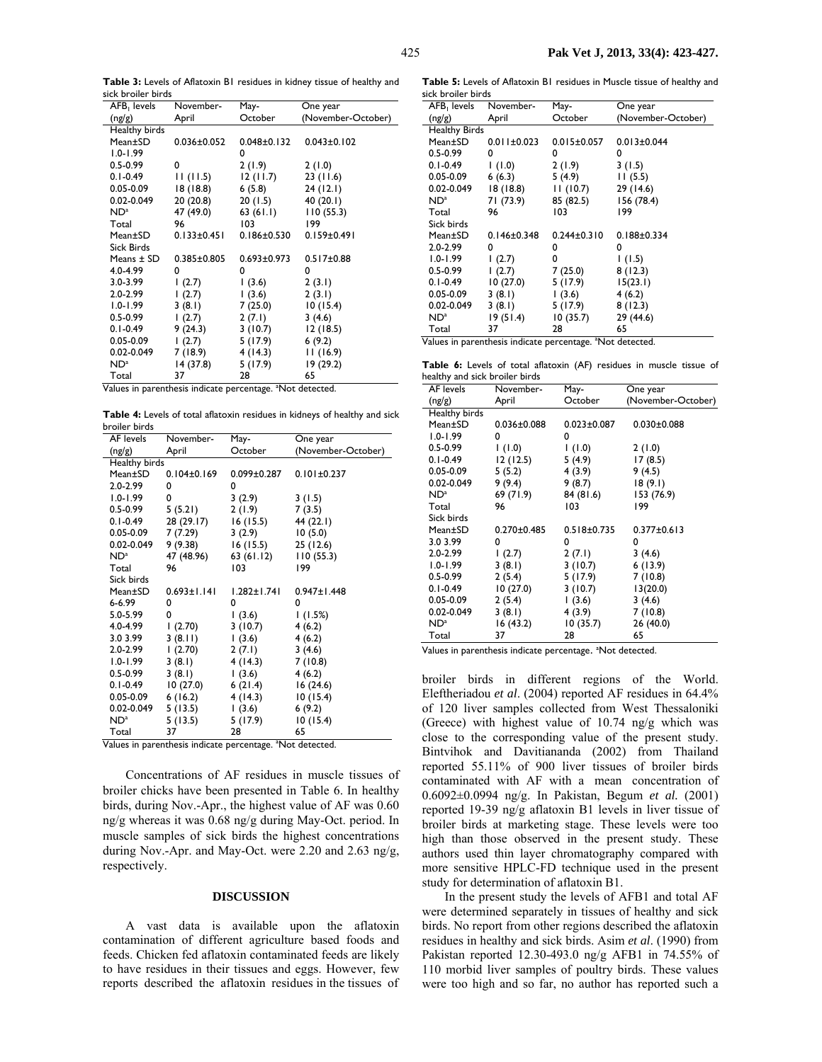**Table 3:** Levels of Aflatoxin B1 residues in kidney tissue of healthy and sick broiler birds

| AFB <sub>1</sub> levels | November-         | May-              | One year           |
|-------------------------|-------------------|-------------------|--------------------|
| (ng/g)                  | April             | October           | (November-October) |
| Healthy birds           |                   |                   |                    |
| Mean±SD                 | $0.036 \pm 0.052$ | $0.048 \pm 0.132$ | $0.043 \pm 0.102$  |
| 1.0-1.99                |                   | 0                 |                    |
| $0.5 - 0.99$            | 0                 | 2(1.9)            | 2(1.0)             |
| $0.1 - 0.49$            | 11(11.5)          | 12(11.7)          | 23(11.6)           |
| $0.05 - 0.09$           | 18 (18.8)         | 6(5.8)            | 24(12.1)           |
| 0.02-0.049              | 20 (20.8)         | 20(1.5)           | 40 (20.1)          |
| $ND^a$                  | 47 (49.0)         | 63(61.1)          | 110(55.3)          |
| Total                   | 96                | 103               | 199                |
| Mean±SD                 | $0.133 \pm 0.451$ | $0.186 \pm 0.530$ | $0.159 \pm 0.491$  |
| Sick Birds              |                   |                   |                    |
| Means $\pm$ SD          | $0.385 \pm 0.805$ | 0.693±0.973       | $0.517 \pm 0.88$   |
| 4.0-4.99                | 0                 | 0                 | 0                  |
| 3.0-3.99                | (2.7)             | (3.6)             | 2(3.1)             |
| $2.0 - 2.99$            | (2.7)             | (3.6)             | 2(3.1)             |
| I.O-I.99                | 3(8.1)            | 7 (25.0)          | 10(15.4)           |
| $0.5 - 0.99$            | 1(2.7)            | 2(7.1)            | 3(4.6)             |
| $0.1 - 0.49$            | 9 (24.3)          | 3(10.7)           | 12(18.5)           |
| $0.05 - 0.09$           | (2.7)             | 5(17.9)           | 6(9.2)             |
| 0.02-0.049              | 7 (18.9)          | 4(14.3)           | 11(16.9)           |
| $ND^a$                  | 14 (37.8)         | 5(17.9)           | 19 (29.2)          |
| Total                   | 37                | 28                | 65                 |

Values in parenthesis indicate percentage. <sup>a</sup>Not detected.

**Table 4:** Levels of total aflatoxin residues in kidneys of healthy and sick broiler birds

| AF levels       | November-         | May-              | One year           |
|-----------------|-------------------|-------------------|--------------------|
| (ng/g)          | April             | October           | (November-October) |
| Healthy birds   |                   |                   |                    |
| Mean±SD         | $0.104 \pm 0.169$ | $0.099 \pm 0.287$ | $0.101 \pm 0.237$  |
| 2.0-2.99        | 0                 | 0                 |                    |
| $1.0 - 1.99$    | 0                 | 3(2.9)            | 3(1.5)             |
| 0.5-0.99        | 5(5.21)           | 2(1.9)            | 7(3.5)             |
| $0.1 - 0.49$    | 28 (29.17)        | 16 (15.5)         | 44 (22.1)          |
| $0.05 - 0.09$   | 7 (7.29)          | 3(2.9)            | 10(5.0)            |
| 0.02-0.049      | 9 (9.38)          | 16 (15.5)         | 25(12.6)           |
| NDª             | 47 (48.96)        | 63(61.12)         | 110(55.3)          |
| Total           | 96                | 103               | 199                |
| Sick birds      |                   |                   |                    |
| Mean±SD         | $0.693 \pm 1.141$ | $1.282 \pm 1.741$ | $0.947 \pm 1.448$  |
| 6-6.99          | 0                 | 0                 | 0                  |
| 5.0-5.99        | 0                 | (3.6)             | 1(1.5%)            |
| 4.0-4.99        | (2.70)            | 3(10.7)           | 4(6.2)             |
| 3.0 3.99        | 3(8.11)           | (3.6)             | 4(6.2)             |
| 2.0-2.99        | (2.70)            | 2(7.1)            | 3(4.6)             |
| $1.0 - 1.99$    | 3(8.1)            | 4(14.3)           | 7(10.8)            |
| $0.5 - 0.99$    | 3(8.1)            | (3.6)             | 4(6.2)             |
| $0.1 - 0.49$    | 10(27.0)          | 6(21.4)           | 16(24.6)           |
| $0.05 - 0.09$   | 6(16.2)           | 4(14.3)           | 10(15.4)           |
| 0.02-0.049      | 5(13.5)           | (3.6)             | 6(9.2)             |
| ND <sup>a</sup> | 5(13.5)           | 5 (17.9)          | 10(15.4)           |
| Total<br>┱      | 37<br>Ŧ           | 28                | 65                 |

Values in parenthesis indicate percentage. <sup>a</sup>Not detected.

Concentrations of AF residues in muscle tissues of broiler chicks have been presented in Table 6. In healthy birds, during Nov.-Apr., the highest value of AF was 0.60 ng/g whereas it was 0.68 ng/g during May-Oct. period. In muscle samples of sick birds the highest concentrations during Nov.-Apr. and May-Oct. were 2.20 and 2.63 ng/g, respectively.

#### **DISCUSSION**

A vast data is available upon the aflatoxin contamination of different agriculture based foods and feeds. Chicken fed aflatoxin contaminated feeds are likely to have residues in their tissues and eggs. However, few reports described the aflatoxin residues in the tissues of

**Table 5:** Levels of Aflatoxin B1 residues in Muscle tissue of healthy and sick broiler birds

| AFB, Ievels                                                            | November-         | May-              | One year           |
|------------------------------------------------------------------------|-------------------|-------------------|--------------------|
| (ng/g)                                                                 | April             | October           | (November-October) |
| <b>Healthy Birds</b>                                                   |                   |                   |                    |
| Mean±SD                                                                | $0.011 \pm 0.023$ | $0.015 \pm 0.057$ | $0.013 \pm 0.044$  |
| $0.5 - 0.99$                                                           | 0                 | 0                 | 0                  |
| $0.1 - 0.49$                                                           | (1.0)             | 2(1.9)            | 3(1.5)             |
| $0.05 - 0.09$                                                          | 6(6.3)            | 5 (4.9)           | 11(5.5)            |
| 0.02-0.049                                                             | 18(18.8)          | 11(10.7)          | 29 (14.6)          |
| $ND^a$                                                                 | 71 (73.9)         | 85 (82.5)         | 156 (78.4)         |
| Total                                                                  | 96                | 103               | 199                |
| Sick birds                                                             |                   |                   |                    |
| Mean±SD                                                                | $0.146 \pm 0.348$ | $0.244 \pm 0.310$ | $0.188 + 0.334$    |
| $2.0 - 2.99$                                                           | 0                 | 0                 | 0                  |
| $1.0 - 1.99$                                                           | (2.7)             | 0                 | (1.5)              |
| $0.5 - 0.99$                                                           | (2.7)             | 7 (25.0)          | 8(12.3)            |
| $0.1 - 0.49$                                                           | 10(27.0)          | 5 (17.9)          | 15(23.1)           |
| $0.05 - 0.09$                                                          | 3(8.1)            | (3.6)             | 4(6.2)             |
| 0.02-0.049                                                             | 3(8.1)            | 5 (17.9)          | 8(12.3)            |
| $ND^a$                                                                 | 19(51.4)          | 10(35.7)          | 29 (44.6)          |
| Total                                                                  | 37                | 28                | 65                 |
| lalues in paranthesis indicate perceptage<br><sup>a</sup> Not dotacted |                   |                   |                    |

Values in parenthesis indicate percentage. <sup>a</sup>Not detected.

**Table 6:** Levels of total aflatoxin (AF) residues in muscle tissue of healthy and sick broiler birds

| <b>AF</b> levels | November-         | May-              | One year           |
|------------------|-------------------|-------------------|--------------------|
| (ng/g)           | April             | October           | (November-October) |
| Healthy birds    |                   |                   |                    |
| Mean±SD          | $0.036 \pm 0.088$ | $0.023 \pm 0.087$ | $0.030 \pm 0.088$  |
| $1.0 - 1.99$     | 0                 | 0                 |                    |
| 0.5-0.99         | $(0.1)$ I         | $(0.1)$ I         | 2(1.0)             |
| 0.1-0.49         | 12 (12.5)         | 5 (4.9)           | 17(8.5)            |
| $0.05 - 0.09$    | 5(5.2)            | 4(3.9)            | 9(4.5)             |
| 0.02-0.049       | 9 (9.4)           | 9 (8.7)           | 18(9.1)            |
| $ND^a$           | 69 (71.9)         | 84 (81.6)         | 153 (76.9)         |
| Total            | 96                | 103               | 199                |
| Sick birds       |                   |                   |                    |
| Mean±SD          | $0.270 \pm 0.485$ | $0.518 \pm 0.735$ | $0.377 \pm 0.613$  |
| 3.0 3.99         | 0                 | 0                 | 0                  |
| 2.0-2.99         | (2.7)             | 2(7.1)            | 3(4.6)             |
| $1.0 - 1.99$     | 3(8.1)            | 3(10.7)           | 6(13.9)            |
| $0.5 - 0.99$     | 2(5.4)            | 5(17.9)           | 7(10.8)            |
| 0.1-0.49         | 10 (27.0)         | 3(10.7)           | 13(20.0)           |
| $0.05 - 0.09$    | 2(5.4)            | (3.6)             | 3(4.6)             |
| 0.02-0.049       | 3(8.1)            | 4 (3.9)           | 7(10.8)            |
| NDª              | 16 (43.2)         | 10(35.7)          | 26 (40.0)          |
| Total            | 37                | 28                | 65                 |

Values in parenthesis indicate percentage. <sup>a</sup>Not detected.

broiler birds in different regions of the World. Eleftheriadou *et al*. (2004) reported AF residues in 64.4% of 120 liver samples collected from West Thessaloniki (Greece) with highest value of 10.74 ng/g which was close to the corresponding value of the present study. Bintvihok and Davitiananda (2002) from Thailand reported 55.11% of 900 liver tissues of broiler birds contaminated with AF with a mean concentration of 0.6092±0.0994 ng/g. In Pakistan, Begum *et al.* (2001) reported 19-39 ng/g aflatoxin B1 levels in liver tissue of broiler birds at marketing stage. These levels were too high than those observed in the present study. These authors used thin layer chromatography compared with more sensitive HPLC-FD technique used in the present study for determination of aflatoxin B1.

In the present study the levels of AFB1 and total AF were determined separately in tissues of healthy and sick birds. No report from other regions described the aflatoxin residues in healthy and sick birds. Asim *et al*. (1990) from Pakistan reported 12.30-493.0 ng/g AFB1 in 74.55% of 110 morbid liver samples of poultry birds. These values were too high and so far, no author has reported such a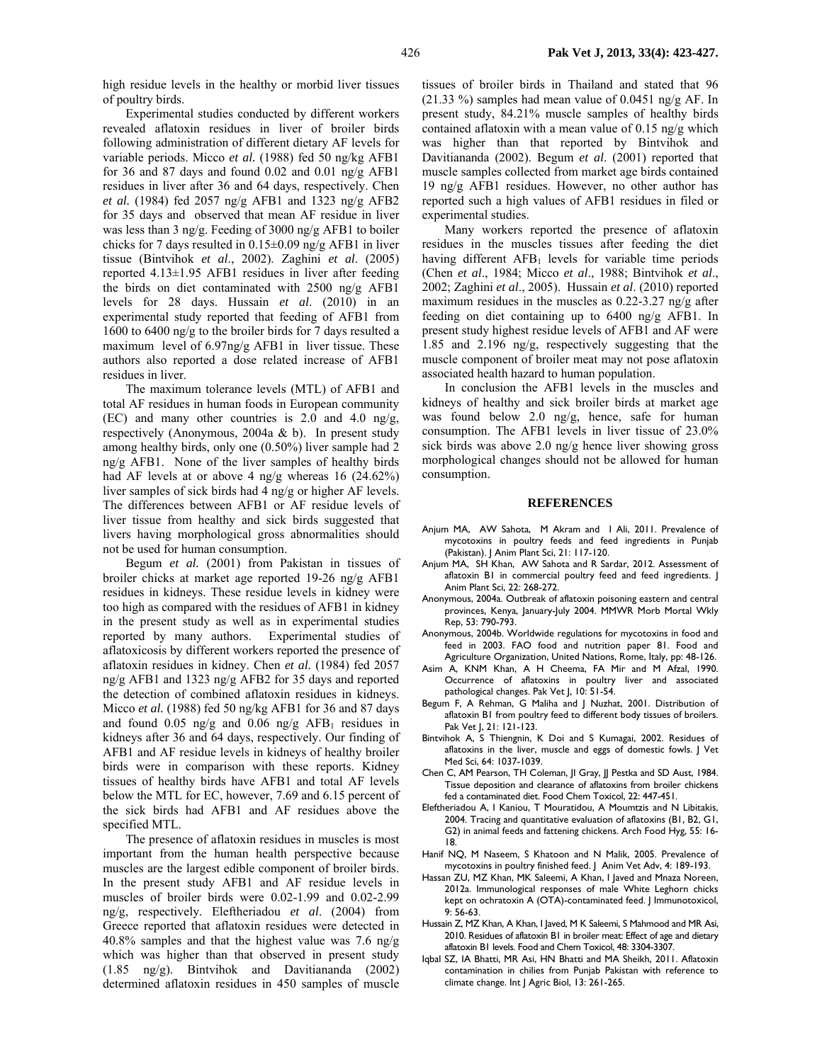high residue levels in the healthy or morbid liver tissues of poultry birds.

Experimental studies conducted by different workers revealed aflatoxin residues in liver of broiler birds following administration of different dietary AF levels for variable periods. Micco *et al.* (1988) fed 50 ng/kg AFB1 for 36 and 87 days and found 0.02 and 0.01 ng/g AFB1 residues in liver after 36 and 64 days, respectively. Chen *et al.* (1984) fed 2057 ng/g AFB1 and 1323 ng/g AFB2 for 35 days and observed that mean AF residue in liver was less than 3 ng/g. Feeding of 3000 ng/g AFB1 to boiler chicks for 7 days resulted in 0.15±0.09 ng/g AFB1 in liver tissue (Bintvihok *et al*., 2002). Zaghini *et al*. (2005) reported 4.13±1.95 AFB1 residues in liver after feeding the birds on diet contaminated with 2500 ng/g AFB1 levels for 28 days. Hussain *et al*. (2010) in an experimental study reported that feeding of AFB1 from 1600 to 6400 ng/g to the broiler birds for 7 days resulted a maximum level of 6.97ng/g AFB1 in liver tissue. These authors also reported a dose related increase of AFB1 residues in liver.

The maximum tolerance levels (MTL) of AFB1 and total AF residues in human foods in European community (EC) and many other countries is 2.0 and 4.0 ng/g, respectively (Anonymous, 2004a & b). In present study among healthy birds, only one (0.50%) liver sample had 2 ng/g AFB1. None of the liver samples of healthy birds had AF levels at or above 4 ng/g whereas 16 (24.62%) liver samples of sick birds had 4 ng/g or higher AF levels. The differences between AFB1 or AF residue levels of liver tissue from healthy and sick birds suggested that livers having morphological gross abnormalities should not be used for human consumption.

Begum *et al.* (2001) from Pakistan in tissues of broiler chicks at market age reported 19-26 ng/g AFB1 residues in kidneys. These residue levels in kidney were too high as compared with the residues of AFB1 in kidney in the present study as well as in experimental studies reported by many authors. Experimental studies of aflatoxicosis by different workers reported the presence of aflatoxin residues in kidney. Chen *et al.* (1984) fed 2057 ng/g AFB1 and 1323 ng/g AFB2 for 35 days and reported the detection of combined aflatoxin residues in kidneys. Micco *et al.* (1988) fed 50 ng/kg AFB1 for 36 and 87 days and found  $0.05$  ng/g and  $0.06$  ng/g AFB<sub>1</sub> residues in kidneys after 36 and 64 days, respectively. Our finding of AFB1 and AF residue levels in kidneys of healthy broiler birds were in comparison with these reports. Kidney tissues of healthy birds have AFB1 and total AF levels below the MTL for EC, however, 7.69 and 6.15 percent of the sick birds had AFB1 and AF residues above the specified MTL.

The presence of aflatoxin residues in muscles is most important from the human health perspective because muscles are the largest edible component of broiler birds. In the present study AFB1 and AF residue levels in muscles of broiler birds were 0.02-1.99 and 0.02-2.99 ng/g, respectively. Eleftheriadou *et al*. (2004) from Greece reported that aflatoxin residues were detected in 40.8% samples and that the highest value was 7.6 ng/g which was higher than that observed in present study (1.85 ng/g). Bintvihok and Davitiananda (2002) determined aflatoxin residues in 450 samples of muscle

tissues of broiler birds in Thailand and stated that 96  $(21.33 \%)$  samples had mean value of 0.0451 ng/g AF. In present study, 84.21% muscle samples of healthy birds contained aflatoxin with a mean value of 0.15 ng/g which was higher than that reported by Bintvihok and Davitiananda (2002). Begum *et al*. (2001) reported that muscle samples collected from market age birds contained 19 ng/g AFB1 residues. However, no other author has reported such a high values of AFB1 residues in filed or experimental studies.

Many workers reported the presence of aflatoxin residues in the muscles tissues after feeding the diet having different  $AFB<sub>1</sub>$  levels for variable time periods (Chen *et al*., 1984; Micco *et al*., 1988; Bintvihok *et al*., 2002; Zaghini *et al*., 2005). Hussain *et al*. (2010) reported maximum residues in the muscles as 0.22-3.27 ng/g after feeding on diet containing up to 6400 ng/g AFB1. In present study highest residue levels of AFB1 and AF were 1.85 and 2.196 ng/g, respectively suggesting that the muscle component of broiler meat may not pose aflatoxin associated health hazard to human population.

In conclusion the AFB1 levels in the muscles and kidneys of healthy and sick broiler birds at market age was found below 2.0 ng/g, hence, safe for human consumption. The AFB1 levels in liver tissue of 23.0% sick birds was above 2.0 ng/g hence liver showing gross morphological changes should not be allowed for human consumption.

#### **REFERENCES**

- Anjum MA, AW Sahota, M Akram and I Ali, 2011. Prevalence of mycotoxins in poultry feeds and feed ingredients in Punjab (Pakistan). J Anim Plant Sci, 21: 117-120.
- Anjum MA, SH Khan, AW Sahota and R Sardar, 2012. Assessment of aflatoxin B1 in commercial poultry feed and feed ingredients. J Anim Plant Sci, 22: 268-272.
- Anonymous, 2004a. Outbreak of aflatoxin poisoning eastern and central provinces, Kenya, January-July 2004. MMWR Morb Mortal Wkly Rep, 53: 790-793.
- Anonymous, 2004b. Worldwide regulations for mycotoxins in food and feed in 2003. FAO food and nutrition paper 81. Food and Agriculture Organization, United Nations, Rome, Italy, pp: 48-126.
- Asim A, KNM Khan, A H Cheema, FA Mir and M Afzal, 1990. Occurrence of aflatoxins in poultry liver and associated pathological changes. Pak Vet J, 10: 51-54.
- Begum F, A Rehman, G Maliha and J Nuzhat, 2001. Distribution of aflatoxin B1 from poultry feed to different body tissues of broilers. Pak Vet I, 21: 121-123.
- Bintvihok A, S Thiengnin, K Doi and S Kumagai, 2002. Residues of aflatoxins in the liver, muscle and eggs of domestic fowls. J Vet Med Sci, 64: 1037-1039.
- Chen C, AM Pearson, TH Coleman, JI Gray, JJ Pestka and SD Aust, 1984. Tissue deposition and clearance of aflatoxins from broiler chickens fed a contaminated diet. Food Chem Toxicol, 22: 447-451.
- Eleftheriadou A, I Kaniou, T Mouratidou, A Moumtzis and N Libitakis, 2004. Tracing and quantitative evaluation of aflatoxins (B1, B2, G1, G2) in animal feeds and fattening chickens. Arch Food Hyg, 55: 16- 18.
- Hanif NQ, M Naseem, S Khatoon and N Malik, 2005. Prevalence of mycotoxins in poultry finished feed. J Anim Vet Adv, 4: 189-193.
- Hassan ZU, MZ Khan, MK Saleemi, A Khan, I Javed and Mnaza Noreen, 2012a. Immunological responses of male White Leghorn chicks kept on ochratoxin A (OTA)-contaminated feed. J Immunotoxicol, 9: 56-63.
- Hussain Z, MZ Khan, A Khan, I Javed, M K Saleemi, S Mahmood and MR Asi, 2010. Residues of aflatoxin B1 in broiler meat: Effect of age and dietary aflatoxin B1 levels. Food and Chem Toxicol, 48: 3304-3307.
- Iqbal SZ, IA Bhatti, MR Asi, HN Bhatti and MA Sheikh, 2011. Aflatoxin contamination in chilies from Punjab Pakistan with reference to climate change. Int J Agric Biol, 13: 261-265.